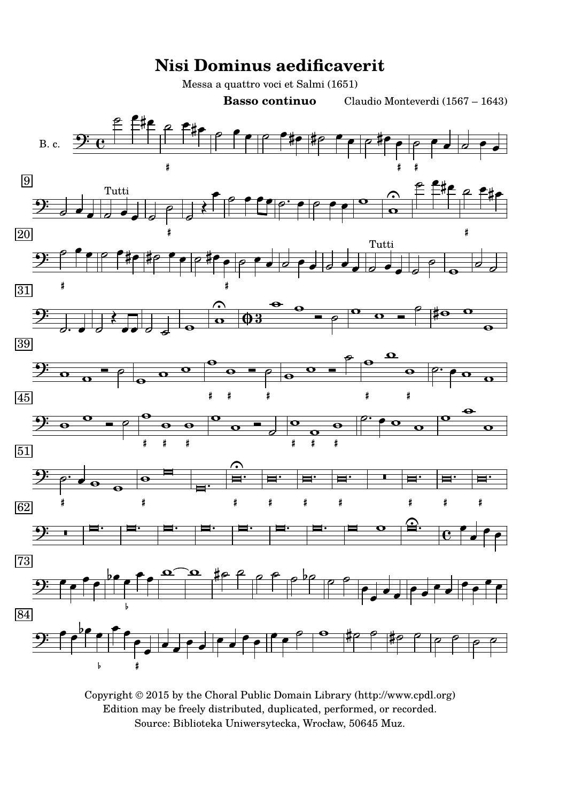

Copyright © 2015 by the Choral Public Domain Library (http://www.cpdl.org) Edition may be freely distributed, duplicated, performed, or recorded. Source: Biblioteka Uniwersytecka, Wrocław, 50645 Muz.